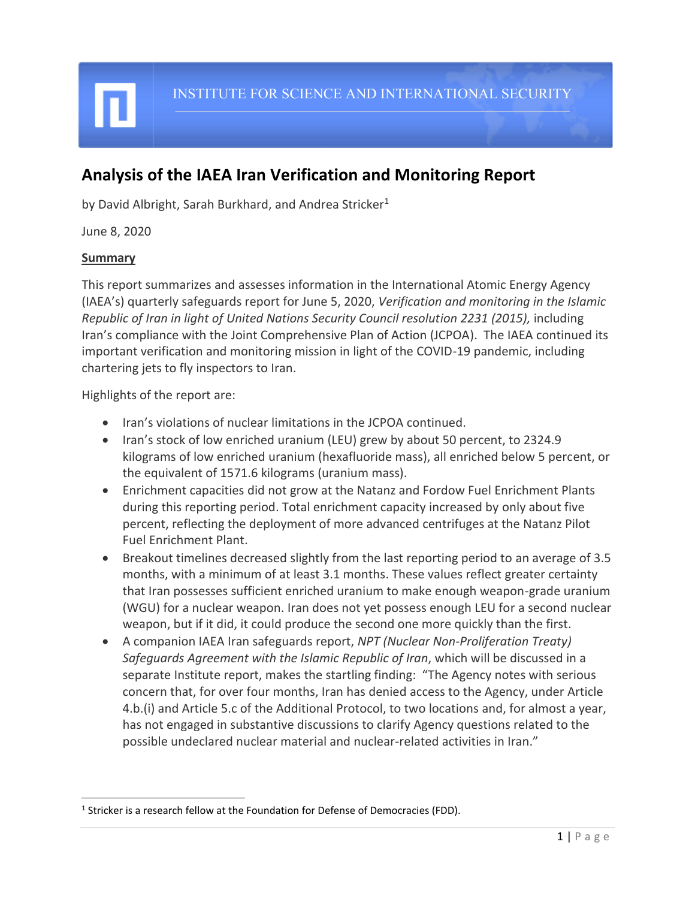# **Analysis of the IAEA Iran Verification and Monitoring Report**

by David Albright, Sarah Burkhard, and Andrea Stricker<sup>1</sup>

June 8, 2020

#### **Summary**

This report summarizes and assesses information in the International Atomic Energy Agency (IAEA's) quarterly safeguards report for June 5, 2020, *Verification and monitoring in the Islamic Republic of Iran in light of United Nations Security Council resolution 2231 (2015), including* Iran's compliance with the Joint Comprehensive Plan of Action (JCPOA). The IAEA continued its important verification and monitoring mission in light of the COVID-19 pandemic, including chartering jets to fly inspectors to Iran.

Highlights of the report are:

- Iran's violations of nuclear limitations in the JCPOA continued.
- Iran's stock of low enriched uranium (LEU) grew by about 50 percent, to 2324.9 kilograms of low enriched uranium (hexafluoride mass), all enriched below 5 percent, or the equivalent of 1571.6 kilograms (uranium mass).
- Enrichment capacities did not grow at the Natanz and Fordow Fuel Enrichment Plants during this reporting period. Total enrichment capacity increased by only about five percent, reflecting the deployment of more advanced centrifuges at the Natanz Pilot Fuel Enrichment Plant.
- Breakout timelines decreased slightly from the last reporting period to an average of 3.5 months, with a minimum of at least 3.1 months. These values reflect greater certainty that Iran possesses sufficient enriched uranium to make enough weapon-grade uranium (WGU) for a nuclear weapon. Iran does not yet possess enough LEU for a second nuclear weapon, but if it did, it could produce the second one more quickly than the first.
- A companion IAEA Iran safeguards report, *NPT (Nuclear Non-Proliferation Treaty) Safeguards Agreement with the Islamic Republic of Iran*, which will be discussed in a separate Institute report, makes the startling finding: "The Agency notes with serious concern that, for over four months, Iran has denied access to the Agency, under Article 4.b.(i) and Article 5.c of the Additional Protocol, to two locations and, for almost a year, has not engaged in substantive discussions to clarify Agency questions related to the possible undeclared nuclear material and nuclear-related activities in Iran."

 $<sup>1</sup>$  Stricker is a research fellow at the Foundation for Defense of Democracies (FDD).</sup>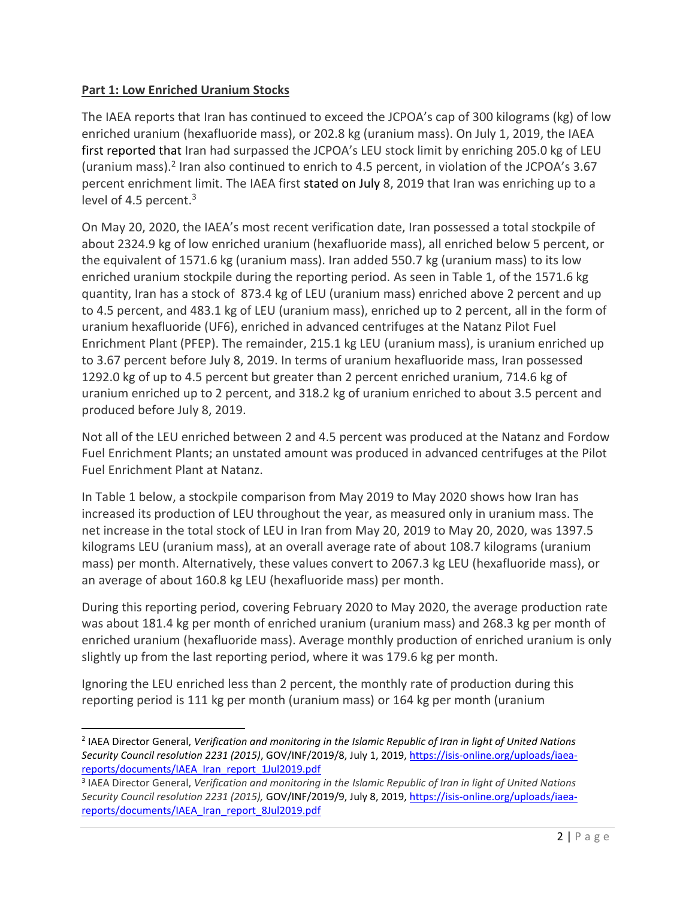## **Part 1: Low Enriched Uranium Stocks**

The IAEA reports that Iran has continued to exceed the JCPOA's cap of 300 kilograms (kg) of low enriched uranium (hexafluoride mass), or 202.8 kg (uranium mass). On July 1, 2019, the IAEA first reported that Iran had surpassed the JCPOA's LEU stock limit by enriching 205.0 kg of LEU (uranium mass).<sup>2</sup> Iran also continued to enrich to 4.5 percent, in violation of the JCPOA's 3.67 percent enrichment limit. The IAEA first stated on July 8, 2019 that Iran was enriching up to a level of 4.5 percent.<sup>3</sup>

On May 20, 2020, the IAEA's most recent verification date, Iran possessed a total stockpile of about 2324.9 kg of low enriched uranium (hexafluoride mass), all enriched below 5 percent, or the equivalent of 1571.6 kg (uranium mass). Iran added 550.7 kg (uranium mass) to its low enriched uranium stockpile during the reporting period. As seen in Table 1, of the 1571.6 kg quantity, Iran has a stock of 873.4 kg of LEU (uranium mass) enriched above 2 percent and up to 4.5 percent, and 483.1 kg of LEU (uranium mass), enriched up to 2 percent, all in the form of uranium hexafluoride (UF6), enriched in advanced centrifuges at the Natanz Pilot Fuel Enrichment Plant (PFEP). The remainder, 215.1 kg LEU (uranium mass), is uranium enriched up to 3.67 percent before July 8, 2019. In terms of uranium hexafluoride mass, Iran possessed 1292.0 kg of up to 4.5 percent but greater than 2 percent enriched uranium, 714.6 kg of uranium enriched up to 2 percent, and 318.2 kg of uranium enriched to about 3.5 percent and produced before July 8, 2019.

Not all of the LEU enriched between 2 and 4.5 percent was produced at the Natanz and Fordow Fuel Enrichment Plants; an unstated amount was produced in advanced centrifuges at the Pilot Fuel Enrichment Plant at Natanz.

In Table 1 below, a stockpile comparison from May 2019 to May 2020 shows how Iran has increased its production of LEU throughout the year, as measured only in uranium mass. The net increase in the total stock of LEU in Iran from May 20, 2019 to May 20, 2020, was 1397.5 kilograms LEU (uranium mass), at an overall average rate of about 108.7 kilograms (uranium mass) per month. Alternatively, these values convert to 2067.3 kg LEU (hexafluoride mass), or an average of about 160.8 kg LEU (hexafluoride mass) per month.

During this reporting period, covering February 2020 to May 2020, the average production rate was about 181.4 kg per month of enriched uranium (uranium mass) and 268.3 kg per month of enriched uranium (hexafluoride mass). Average monthly production of enriched uranium is only slightly up from the last reporting period, where it was 179.6 kg per month.

Ignoring the LEU enriched less than 2 percent, the monthly rate of production during this reporting period is 111 kg per month (uranium mass) or 164 kg per month (uranium

<sup>2</sup> IAEA Director General, *Verification and monitoring in the Islamic Republic of Iran in light of United Nations Security Council resolution 2231 (2015)*, GOV/INF/2019/8, July 1, 2019, [https://isis-online.org/uploads/iaea](https://isis-online.org/uploads/iaea-reports/documents/IAEA_Iran_report_1Jul2019.pdf)[reports/documents/IAEA\\_Iran\\_report\\_1Jul2019.pdf](https://isis-online.org/uploads/iaea-reports/documents/IAEA_Iran_report_1Jul2019.pdf)

<sup>3</sup> IAEA Director General, *Verification and monitoring in the Islamic Republic of Iran in light of United Nations Security Council resolution 2231 (2015),* GOV/INF/2019/9, July 8, 2019, [https://isis-online.org/uploads/iaea](https://isis-online.org/uploads/iaea-reports/documents/IAEA_Iran_report_8Jul2019.pdf)[reports/documents/IAEA\\_Iran\\_report\\_8Jul2019.pdf](https://isis-online.org/uploads/iaea-reports/documents/IAEA_Iran_report_8Jul2019.pdf)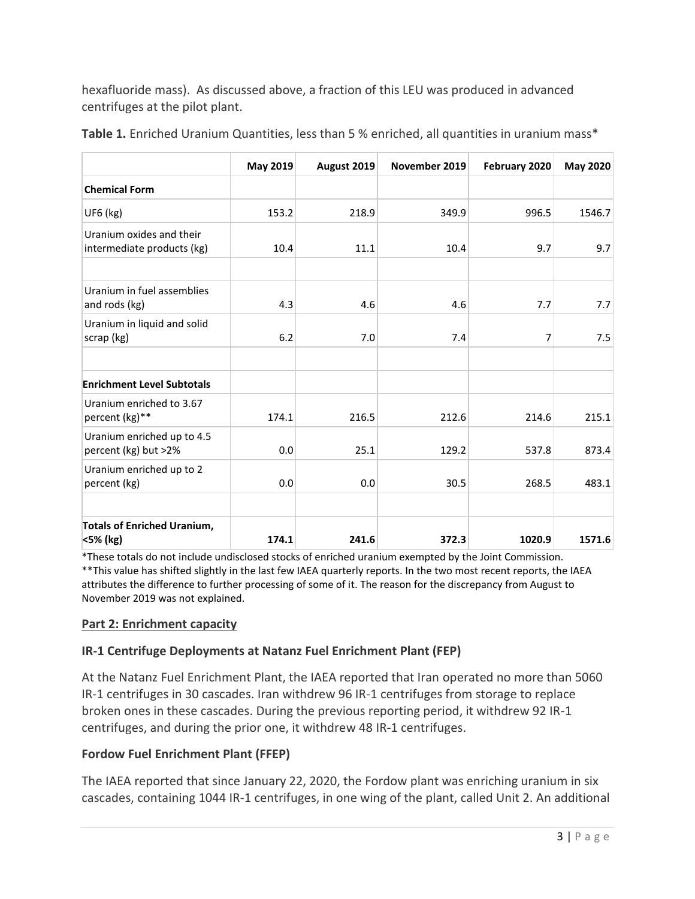hexafluoride mass). As discussed above, a fraction of this LEU was produced in advanced centrifuges at the pilot plant.

|                                                        | <b>May 2019</b> | August 2019 | November 2019 | February 2020 | <b>May 2020</b> |
|--------------------------------------------------------|-----------------|-------------|---------------|---------------|-----------------|
| <b>Chemical Form</b>                                   |                 |             |               |               |                 |
| UF6 (kg)                                               | 153.2           | 218.9       | 349.9         | 996.5         | 1546.7          |
| Uranium oxides and their<br>intermediate products (kg) | 10.4            | 11.1        | 10.4          | 9.7           | 9.7             |
| Uranium in fuel assemblies<br>and rods (kg)            | 4.3             | 4.6         | 4.6           | 7.7           | 7.7             |
| Uranium in liquid and solid<br>scrap (kg)              | 6.2             | 7.0         | 7.4           | 7             | 7.5             |
| <b>Enrichment Level Subtotals</b>                      |                 |             |               |               |                 |
| Uranium enriched to 3.67<br>percent (kg)**             | 174.1           | 216.5       | 212.6         | 214.6         | 215.1           |
| Uranium enriched up to 4.5<br>percent (kg) but >2%     | 0.0             | 25.1        | 129.2         | 537.8         | 873.4           |
| Uranium enriched up to 2<br>percent (kg)               | 0.0             | 0.0         | 30.5          | 268.5         | 483.1           |
| <b>Totals of Enriched Uranium,</b><br><5% (kg)         | 174.1           | 241.6       | 372.3         | 1020.9        | 1571.6          |

Table 1. Enriched Uranium Quantities, less than 5 % enriched, all quantities in uranium mass\*

\*These totals do not include undisclosed stocks of enriched uranium exempted by the Joint Commission. \*\*This value has shifted slightly in the last few IAEA quarterly reports. In the two most recent reports, the IAEA attributes the difference to further processing of some of it. The reason for the discrepancy from August to November 2019 was not explained.

#### **Part 2: Enrichment capacity**

#### **IR-1 Centrifuge Deployments at Natanz Fuel Enrichment Plant (FEP)**

At the Natanz Fuel Enrichment Plant, the IAEA reported that Iran operated no more than 5060 IR-1 centrifuges in 30 cascades. Iran withdrew 96 IR-1 centrifuges from storage to replace broken ones in these cascades. During the previous reporting period, it withdrew 92 IR-1 centrifuges, and during the prior one, it withdrew 48 IR-1 centrifuges.

#### **Fordow Fuel Enrichment Plant (FFEP)**

The IAEA reported that since January 22, 2020, the Fordow plant was enriching uranium in six cascades, containing 1044 IR-1 centrifuges, in one wing of the plant, called Unit 2. An additional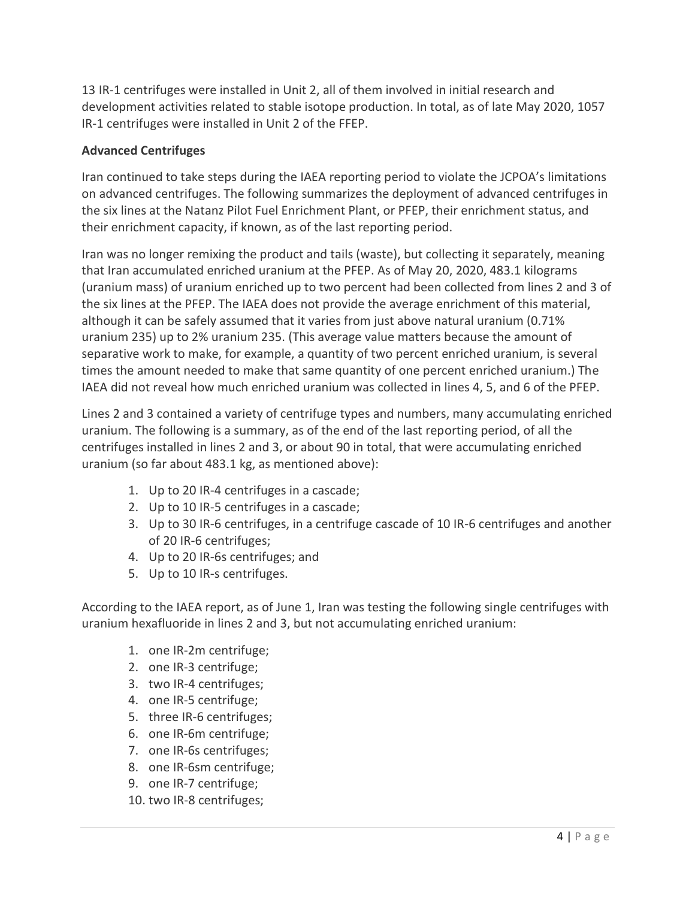13 IR-1 centrifuges were installed in Unit 2, all of them involved in initial research and development activities related to stable isotope production. In total, as of late May 2020, 1057 IR-1 centrifuges were installed in Unit 2 of the FFEP.

## **Advanced Centrifuges**

Iran continued to take steps during the IAEA reporting period to violate the JCPOA's limitations on advanced centrifuges. The following summarizes the deployment of advanced centrifuges in the six lines at the Natanz Pilot Fuel Enrichment Plant, or PFEP, their enrichment status, and their enrichment capacity, if known, as of the last reporting period.

Iran was no longer remixing the product and tails (waste), but collecting it separately, meaning that Iran accumulated enriched uranium at the PFEP. As of May 20, 2020, 483.1 kilograms (uranium mass) of uranium enriched up to two percent had been collected from lines 2 and 3 of the six lines at the PFEP. The IAEA does not provide the average enrichment of this material, although it can be safely assumed that it varies from just above natural uranium (0.71% uranium 235) up to 2% uranium 235. (This average value matters because the amount of separative work to make, for example, a quantity of two percent enriched uranium, is several times the amount needed to make that same quantity of one percent enriched uranium.) The IAEA did not reveal how much enriched uranium was collected in lines 4, 5, and 6 of the PFEP.

Lines 2 and 3 contained a variety of centrifuge types and numbers, many accumulating enriched uranium. The following is a summary, as of the end of the last reporting period, of all the centrifuges installed in lines 2 and 3, or about 90 in total, that were accumulating enriched uranium (so far about 483.1 kg, as mentioned above):

- 1. Up to 20 IR-4 centrifuges in a cascade;
- 2. Up to 10 IR-5 centrifuges in a cascade;
- 3. Up to 30 IR-6 centrifuges, in a centrifuge cascade of 10 IR-6 centrifuges and another of 20 IR-6 centrifuges;
- 4. Up to 20 IR-6s centrifuges; and
- 5. Up to 10 IR-s centrifuges.

According to the IAEA report, as of June 1, Iran was testing the following single centrifuges with uranium hexafluoride in lines 2 and 3, but not accumulating enriched uranium:

- 1. one IR-2m centrifuge;
- 2. one IR-3 centrifuge;
- 3. two IR-4 centrifuges;
- 4. one IR-5 centrifuge;
- 5. three IR-6 centrifuges;
- 6. one IR-6m centrifuge;
- 7. one IR-6s centrifuges;
- 8. one IR-6sm centrifuge;
- 9. one IR-7 centrifuge;
- 10. two IR-8 centrifuges;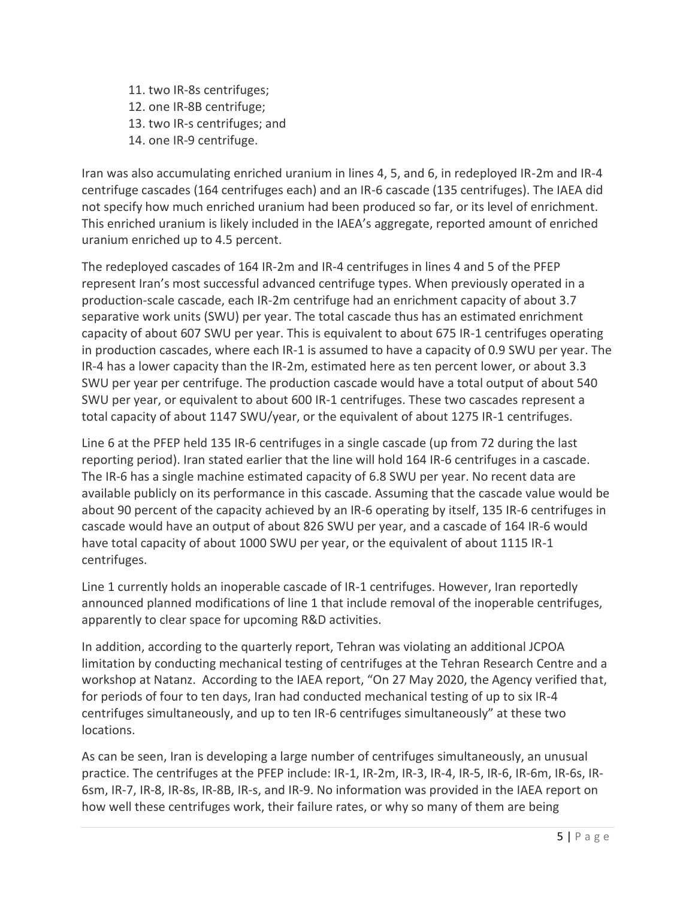11. two IR-8s centrifuges; 12. one IR-8B centrifuge; 13. two IR-s centrifuges; and 14. one IR-9 centrifuge.

Iran was also accumulating enriched uranium in lines 4, 5, and 6, in redeployed IR-2m and IR-4 centrifuge cascades (164 centrifuges each) and an IR-6 cascade (135 centrifuges). The IAEA did not specify how much enriched uranium had been produced so far, or its level of enrichment. This enriched uranium is likely included in the IAEA's aggregate, reported amount of enriched uranium enriched up to 4.5 percent.

The redeployed cascades of 164 IR-2m and IR-4 centrifuges in lines 4 and 5 of the PFEP represent Iran's most successful advanced centrifuge types. When previously operated in a production-scale cascade, each IR-2m centrifuge had an enrichment capacity of about 3.7 separative work units (SWU) per year. The total cascade thus has an estimated enrichment capacity of about 607 SWU per year. This is equivalent to about 675 IR-1 centrifuges operating in production cascades, where each IR-1 is assumed to have a capacity of 0.9 SWU per year. The IR-4 has a lower capacity than the IR-2m, estimated here as ten percent lower, or about 3.3 SWU per year per centrifuge. The production cascade would have a total output of about 540 SWU per year, or equivalent to about 600 IR-1 centrifuges. These two cascades represent a total capacity of about 1147 SWU/year, or the equivalent of about 1275 IR-1 centrifuges.

Line 6 at the PFEP held 135 IR-6 centrifuges in a single cascade (up from 72 during the last reporting period). Iran stated earlier that the line will hold 164 IR-6 centrifuges in a cascade. The IR-6 has a single machine estimated capacity of 6.8 SWU per year. No recent data are available publicly on its performance in this cascade. Assuming that the cascade value would be about 90 percent of the capacity achieved by an IR-6 operating by itself, 135 IR-6 centrifuges in cascade would have an output of about 826 SWU per year, and a cascade of 164 IR-6 would have total capacity of about 1000 SWU per year, or the equivalent of about 1115 IR-1 centrifuges.

Line 1 currently holds an inoperable cascade of IR-1 centrifuges. However, Iran reportedly announced planned modifications of line 1 that include removal of the inoperable centrifuges, apparently to clear space for upcoming R&D activities.

In addition, according to the quarterly report, Tehran was violating an additional JCPOA limitation by conducting mechanical testing of centrifuges at the Tehran Research Centre and a workshop at Natanz. According to the IAEA report, "On 27 May 2020, the Agency verified that, for periods of four to ten days, Iran had conducted mechanical testing of up to six IR-4 centrifuges simultaneously, and up to ten IR-6 centrifuges simultaneously" at these two locations.

As can be seen, Iran is developing a large number of centrifuges simultaneously, an unusual practice. The centrifuges at the PFEP include: IR-1, IR-2m, IR-3, IR-4, IR-5, IR-6, IR-6m, IR-6s, IR-6sm, IR-7, IR-8, IR-8s, IR-8B, IR-s, and IR-9. No information was provided in the IAEA report on how well these centrifuges work, their failure rates, or why so many of them are being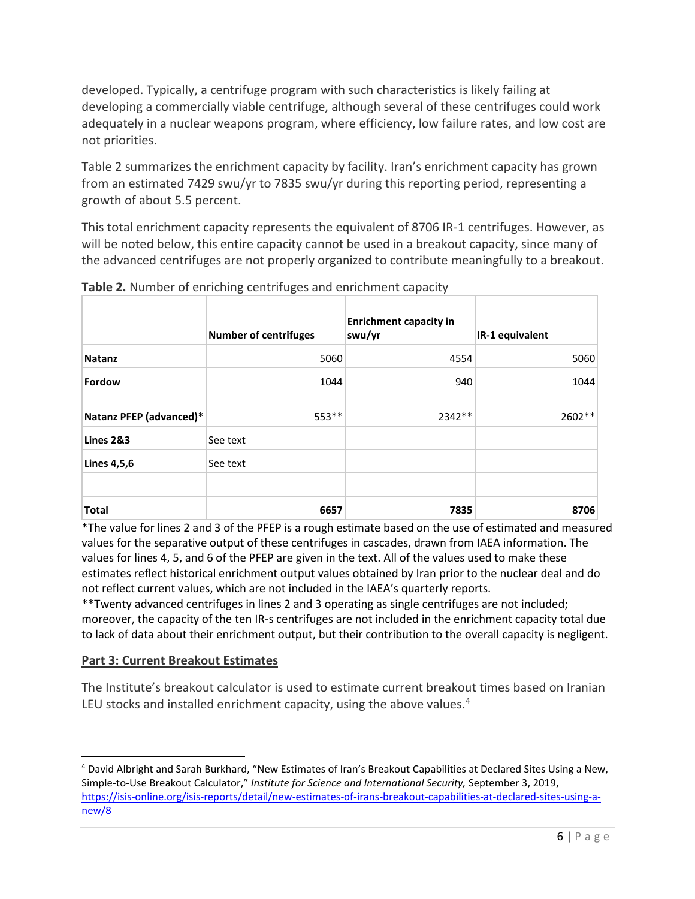developed. Typically, a centrifuge program with such characteristics is likely failing at developing a commercially viable centrifuge, although several of these centrifuges could work adequately in a nuclear weapons program, where efficiency, low failure rates, and low cost are not priorities.

Table 2 summarizes the enrichment capacity by facility. Iran's enrichment capacity has grown from an estimated 7429 swu/yr to 7835 swu/yr during this reporting period, representing a growth of about 5.5 percent.

This total enrichment capacity represents the equivalent of 8706 IR-1 centrifuges. However, as will be noted below, this entire capacity cannot be used in a breakout capacity, since many of the advanced centrifuges are not properly organized to contribute meaningfully to a breakout.

|                         | <b>Number of centrifuges</b> | <b>Enrichment capacity in</b><br>swu/yr | IR-1 equivalent |
|-------------------------|------------------------------|-----------------------------------------|-----------------|
| <b>Natanz</b>           | 5060                         | 4554                                    | 5060            |
| Fordow                  | 1044                         | 940                                     | 1044            |
| Natanz PFEP (advanced)* | 553**                        | 2342 **                                 | 2602**          |
| Lines 2&3               | See text                     |                                         |                 |
| Lines 4,5,6             | See text                     |                                         |                 |
| <b>Total</b>            | 6657                         | 7835                                    | 8706            |

**Table 2.** Number of enriching centrifuges and enrichment capacity

\*The value for lines 2 and 3 of the PFEP is a rough estimate based on the use of estimated and measured values for the separative output of these centrifuges in cascades, drawn from IAEA information. The values for lines 4, 5, and 6 of the PFEP are given in the text. All of the values used to make these estimates reflect historical enrichment output values obtained by Iran prior to the nuclear deal and do not reflect current values, which are not included in the IAEA's quarterly reports.

\*\*Twenty advanced centrifuges in lines 2 and 3 operating as single centrifuges are not included; moreover, the capacity of the ten IR-s centrifuges are not included in the enrichment capacity total due to lack of data about their enrichment output, but their contribution to the overall capacity is negligent.

#### **Part 3: Current Breakout Estimates**

The Institute's breakout calculator is used to estimate current breakout times based on Iranian LEU stocks and installed enrichment capacity, using the above values.<sup>4</sup>

<sup>4</sup> David Albright and Sarah Burkhard, "New Estimates of Iran's Breakout Capabilities at Declared Sites Using a New, Simple-to-Use Breakout Calculator," *Institute for Science and International Security,* September 3, 2019, [https://isis-online.org/isis-reports/detail/new-estimates-of-irans-breakout-capabilities-at-declared-sites-using-a](https://isis-online.org/isis-reports/detail/new-estimates-of-irans-breakout-capabilities-at-declared-sites-using-a-new/8)[new/8](https://isis-online.org/isis-reports/detail/new-estimates-of-irans-breakout-capabilities-at-declared-sites-using-a-new/8)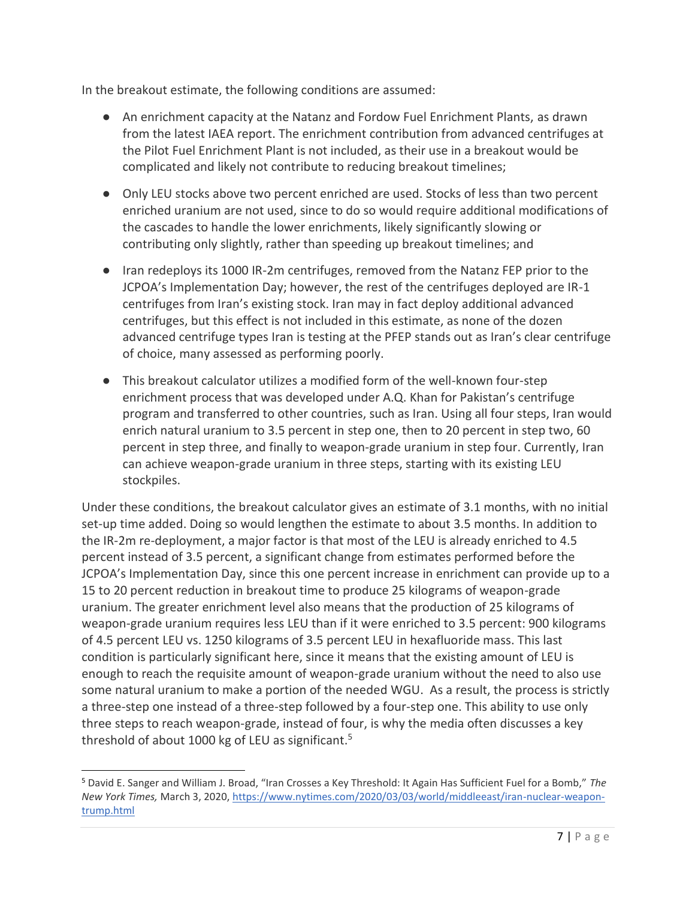In the breakout estimate, the following conditions are assumed:

- An enrichment capacity at the Natanz and Fordow Fuel Enrichment Plants, as drawn from the latest IAEA report. The enrichment contribution from advanced centrifuges at the Pilot Fuel Enrichment Plant is not included, as their use in a breakout would be complicated and likely not contribute to reducing breakout timelines;
- Only LEU stocks above two percent enriched are used. Stocks of less than two percent enriched uranium are not used, since to do so would require additional modifications of the cascades to handle the lower enrichments, likely significantly slowing or contributing only slightly, rather than speeding up breakout timelines; and
- Iran redeploys its 1000 IR-2m centrifuges, removed from the Natanz FEP prior to the JCPOA's Implementation Day; however, the rest of the centrifuges deployed are IR-1 centrifuges from Iran's existing stock. Iran may in fact deploy additional advanced centrifuges, but this effect is not included in this estimate, as none of the dozen advanced centrifuge types Iran is testing at the PFEP stands out as Iran's clear centrifuge of choice, many assessed as performing poorly.
- This breakout calculator utilizes a modified form of the well-known four-step enrichment process that was developed under A.Q. Khan for Pakistan's centrifuge program and transferred to other countries, such as Iran. Using all four steps, Iran would enrich natural uranium to 3.5 percent in step one, then to 20 percent in step two, 60 percent in step three, and finally to weapon-grade uranium in step four. Currently, Iran can achieve weapon-grade uranium in three steps, starting with its existing LEU stockpiles.

Under these conditions, the breakout calculator gives an estimate of 3.1 months, with no initial set-up time added. Doing so would lengthen the estimate to about 3.5 months. In addition to the IR-2m re-deployment, a major factor is that most of the LEU is already enriched to 4.5 percent instead of 3.5 percent, a significant change from estimates performed before the JCPOA's Implementation Day, since this one percent increase in enrichment can provide up to a 15 to 20 percent reduction in breakout time to produce 25 kilograms of weapon-grade uranium. The greater enrichment level also means that the production of 25 kilograms of weapon-grade uranium requires less LEU than if it were enriched to 3.5 percent: 900 kilograms of 4.5 percent LEU vs. 1250 kilograms of 3.5 percent LEU in hexafluoride mass. This last condition is particularly significant here, since it means that the existing amount of LEU is enough to reach the requisite amount of weapon-grade uranium without the need to also use some natural uranium to make a portion of the needed WGU. As a result, the process is strictly a three-step one instead of a three-step followed by a four-step one. This ability to use only three steps to reach weapon-grade, instead of four, is why the media often discusses a key threshold of about 1000 kg of LEU as significant.<sup>5</sup>

<sup>5</sup> David E. Sanger and William J. Broad, "Iran Crosses a Key Threshold: It Again Has Sufficient Fuel for a Bomb," *The New York Times,* March 3, 2020, [https://www.nytimes.com/2020/03/03/world/middleeast/iran-nuclear-weapon](https://www.nytimes.com/2020/03/03/world/middleeast/iran-nuclear-weapon-trump.html)[trump.html](https://www.nytimes.com/2020/03/03/world/middleeast/iran-nuclear-weapon-trump.html)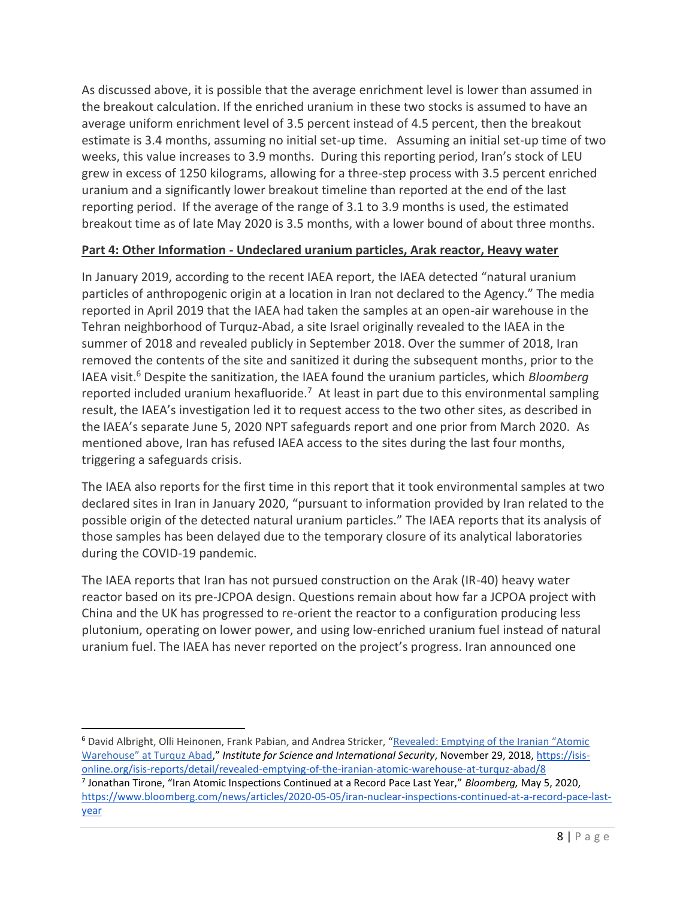As discussed above, it is possible that the average enrichment level is lower than assumed in the breakout calculation. If the enriched uranium in these two stocks is assumed to have an average uniform enrichment level of 3.5 percent instead of 4.5 percent, then the breakout estimate is 3.4 months, assuming no initial set-up time. Assuming an initial set-up time of two weeks, this value increases to 3.9 months. During this reporting period, Iran's stock of LEU grew in excess of 1250 kilograms, allowing for a three-step process with 3.5 percent enriched uranium and a significantly lower breakout timeline than reported at the end of the last reporting period. If the average of the range of 3.1 to 3.9 months is used, the estimated breakout time as of late May 2020 is 3.5 months, with a lower bound of about three months.

#### **Part 4: Other Information - Undeclared uranium particles, Arak reactor, Heavy water**

In January 2019, according to the recent IAEA report, the IAEA detected "natural uranium particles of anthropogenic origin at a location in Iran not declared to the Agency." The media reported in April 2019 that the IAEA had taken the samples at an open-air warehouse in the Tehran neighborhood of Turquz-Abad, a site Israel originally revealed to the IAEA in the summer of 2018 and revealed publicly in September 2018. Over the summer of 2018, Iran removed the contents of the site and sanitized it during the subsequent months, prior to the IAEA visit.<sup>6</sup> Despite the sanitization, the IAEA found the uranium particles, which *Bloomberg* reported included uranium hexafluoride.<sup>7</sup> At least in part due to this environmental sampling result, the IAEA's investigation led it to request access to the two other sites, as described in the IAEA's separate June 5, 2020 NPT safeguards report and one prior from March 2020. As mentioned above, Iran has refused IAEA access to the sites during the last four months, triggering a safeguards crisis.

The IAEA also reports for the first time in this report that it took environmental samples at two declared sites in Iran in January 2020, "pursuant to information provided by Iran related to the possible origin of the detected natural uranium particles." The IAEA reports that its analysis of those samples has been delayed due to the temporary closure of its analytical laboratories during the COVID-19 pandemic.

The IAEA reports that Iran has not pursued construction on the Arak (IR-40) heavy water reactor based on its pre-JCPOA design. Questions remain about how far a JCPOA project with China and the UK has progressed to re-orient the reactor to a configuration producing less plutonium, operating on lower power, and using low-enriched uranium fuel instead of natural uranium fuel. The IAEA has never reported on the project's progress. Iran announced one

<sup>6</sup> David Albright, Olli Heinonen, Frank Pabian, and Andrea Stricker, "Revealed: Emptying of the Iranian "Atomic Warehouse" at Turquz Abad," *Institute for Science and International Security*, November 29, 2018, [https://isis](https://isis-online.org/isis-reports/detail/revealed-emptying-of-the-iranian-atomic-warehouse-at-turquz-abad/8)[online.org/isis-reports/detail/revealed-emptying-of-the-iranian-atomic-warehouse-at-turquz-abad/8](https://isis-online.org/isis-reports/detail/revealed-emptying-of-the-iranian-atomic-warehouse-at-turquz-abad/8)

<sup>7</sup> Jonathan Tirone, "Iran Atomic Inspections Continued at a Record Pace Last Year," *Bloomberg,* May 5, 2020[,](%20) [https://www.bloomberg.com/news/articles/2020-05-05/iran-nuclear-inspections-continued-at-a-record-pace-last](https://www.bloomberg.com/news/articles/2020-05-05/iran-nuclear-inspections-continued-at-a-record-pace-last-year)[year](https://www.bloomberg.com/news/articles/2020-05-05/iran-nuclear-inspections-continued-at-a-record-pace-last-year)